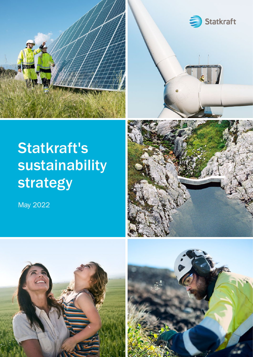



# Statkraft's sustainability strategy

May 2022





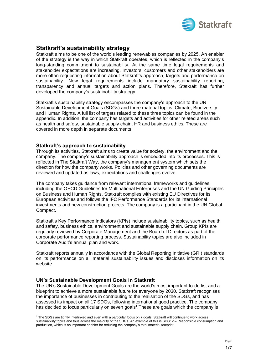

## **Statkraft's sustainability strategy**

Statkraft aims to be one of the world's leading renewables companies by 2025. An enabler of the strategy is the way in which Statkraft operates, which is reflected in the company's long-standing commitment to sustainability. At the same time legal requirements and stakeholder expectations are increasing. Investors, customers and other stakeholders are more often requesting information about Statkraft's approach, targets and performance on sustainability. New legal requirements include mandatory sustainability reporting, transparency and annual targets and action plans. Therefore, Statkraft has further developed the company's sustainability strategy.

Statkraft's sustainability strategy encompasses the company's approach to the UN Sustainable Development Goals (SDGs) and three material topics: Climate, Biodiversity and Human Rights. A full list of targets related to these three topics can be found in the appendix. In addition, the company has targets and activities for other related areas such as health and safety, sustainable supply chain, HR and business ethics. These are covered in more depth in separate documents.

#### **Statkraft's approach to sustainability**

Through its activities, Statkraft aims to create value for society, the environment and the company. The company's sustainability approach is embedded into its processes. This is reflected in The Statkraft Way, the company's management system which sets the direction for how the company works. Policies and other governing documents are reviewed and updated as laws, expectations and challenges evolve.

The company takes guidance from relevant international frameworks and guidelines, including the OECD Guidelines for Multinational Enterprises and the UN Guiding Principles on Business and Human Rights. Statkraft complies with existing EU Directives for its European activities and follows the IFC Performance Standards for its international investments and new construction projects. The company is a participant in the UN Global Compact.

Statkraft's Key Performance Indicators (KPIs) include sustainability topics, such as health and safety, business ethics, environment and sustainable supply chain. Group KPIs are regularly reviewed by Corporate Management and the Board of Directors as part of the corporate performance reporting process. Sustainability topics are also included in Corporate Audit's annual plan and work.

Statkraft reports annually in accordance with the Global Reporting Initiative (GRI) standards on its performance on all material sustainability issues and discloses information on its website.

#### **UN's Sustainable Development Goals in Statkraft**

The UN's Sustainable Development Goals are the world's most important to-do-list and a blueprint to achieve a more sustainable future for everyone by 2030. Statkraft recognises the importance of businesses in contributing to the realisation of the SDGs, and has assessed its impact on all 17 SDGs, following international good practice. The company has decided to focus particularly on seven goals<sup>1</sup>. These are goals which the company is

<sup>1</sup> The SDGs are tightly interlinked and even with a particular focus on 7 goals, Statkraft will continue to work across sustainability topics and thus across the majority of the SDGs. An example of this is SDG12 – Responsible consumption and production, which is an important enabler for reducing the company's total material footprint.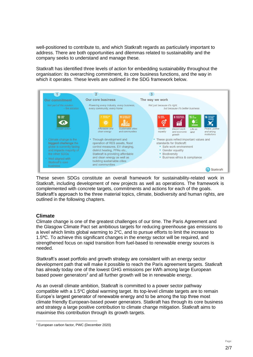well-positioned to contribute to, and which Statkraft regards as particularly important to address. There are both opportunities and dilemmas related to sustainability and the company seeks to understand and manage these.

Statkraft has identified three levels of action for embedding sustainability throughout the organisation: its overarching commitment, its core business functions, and the way in which it operates. These levels are outlined in the SDG framework below.



These seven SDGs constitute an overall framework for sustainability-related work in Statkraft, including development of new projects as well as operations. The framework is complemented with concrete targets, commitments and actions for each of the goals. Statkraft's approach to the three material topics, climate, biodiversity and human rights, are outlined in the following chapters.

#### **Climate**

Climate change is one of the greatest challenges of our time. The Paris Agreement and the Glasgow Climate Pact set ambitious targets for reducing greenhouse gas emissions to a level which limits global warming to  $2^{\circ}$ C, and to pursue efforts to limit the increase to 1.5**<sup>o</sup>**C. To achieve this significant changes in the energy sector will be required, and strengthened focus on rapid transition from fuel-based to renewable energy sources is needed.

Statkraft's asset portfolio and growth strategy are consistent with an energy sector development path that will make it possible to reach the Paris agreement targets. Statkraft has already today one of the lowest GHG emissions per kWh among large European based power generators<sup>2</sup> and all further growth will be in renewable energy.

As an overall climate ambition, Statkraft is committed to a power sector pathway compatible with a 1.5°C global warming target. Its top-level climate targets are to remain Europe's largest generator of renewable energy and to be among the top three most climate friendly European-based power generators. Statkraft has through its core business and strategy a large positive contribution to climate change mitigation. Statkraft aims to maximise this contribution through its growth targets.

<sup>2</sup> European carbon factor, PWC (December 2020)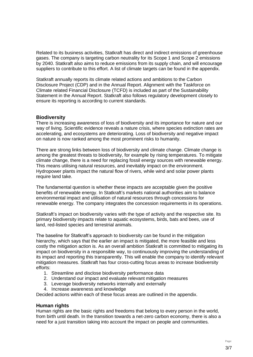Related to its business activities, Statkraft has direct and indirect emissions of greenhouse gases. The company is targeting carbon neutrality for its Scope 1 and Scope 2 emissions by 2040. Statkraft also aims to reduce emissions from its supply chain, and will encourage suppliers to contribute to this effort. A list of climate targets can be found in the appendix.

Statkraft annually reports its climate related actions and ambitions to the Carbon Disclosure Project (CDP) and in the Annual Report. Alignment with the Taskforce on Climate related Financial Disclosure (TCFD) is included as part of the Sustainability Statement in the Annual Report. Statkraft also follows regulatory development closely to ensure its reporting is according to current standards.

#### **Biodiversity**

There is increasing awareness of loss of biodiversity and its importance for nature and our way of living. Scientific evidence reveals a nature crisis, where species extinction rates are accelerating, and ecosystems are deteriorating. Loss of biodiversity and negative impact on nature is now ranked among the most prominent risks to humanity.

There are strong links between loss of biodiversity and climate change. Climate change is among the greatest threats to biodiversity, for example by rising temperatures. To mitigate climate change, there is a need for replacing fossil energy sources with renewable energy. This means utilising natural resources, and inevitably impact on the environment. Hydropower plants impact the natural flow of rivers, while wind and solar power plants require land take.

The fundamental question is whether these impacts are acceptable given the positive benefits of renewable energy. In Statkraft's markets national authorities aim to balance environmental impact and utilisation of natural resources through concessions for renewable energy. The company integrates the concession requirements in its operations.

Statkraft's impact on biodiversity varies with the type of activity and the respective site. Its primary biodiversity impacts relate to aquatic ecosystems, birds, bats and bees, use of land, red-listed species and terrestrial animals.

The baseline for Statkraft's approach to biodiversity can be found in the mitigation hierarchy, which says that the earlier an impact is mitigated, the more feasible and less costly the mitigation action is. As an overall ambition Statkraft is committed to mitigating its impact on biodiversity in a responsible way, to continuously improving the understanding of its impact and reporting this transparently. This will enable the company to identify relevant mitigation measures. Statkraft has four cross-cutting focus areas to increase biodiversity efforts:

- 1. Streamline and disclose biodiversity performance data
- 2. Understand our impact and evaluate relevant mitigation measures
- 3. Leverage biodiversity networks internally and externally
- 4. Increase awareness and knowledge

Decided actions within each of these focus areas are outlined in the appendix.

#### **Human rights**

Human rights are the basic rights and freedoms that belong to every person in the world, from birth until death. In the transition towards a net-zero carbon economy, there is also a need for a just transition taking into account the impact on people and communities.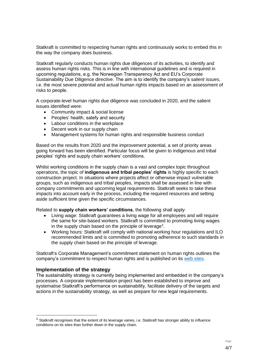Statkraft is committed to respecting human rights and continuously works to embed this in the way the company does business.

Statkraft regularly conducts human rights due diligences of its activities, to identify and assess human rights risks. This is in line with international guidelines and is required in upcoming regulations, e.g. the Norwegian Transparency Act and EU's Corporate Sustainability Due Diligence directive. The aim is to identify the company's *salient issues*, i.e. the most severe potential and actual human rights impacts based on an assessment of risks to people.

A corporate-level human rights due diligence was concluded in 2020, and the salient issues identified were:

- Community impact & social license
- Peoples' health, satefy and security
- Labour conditions in the workplace
- Decent work in our supply chain
- Management systems for human rights and responsible business conduct

Based on the results from 2020 and the improvement potential, a set of priority areas going forward has been identified. Particular focus will be given to indigenous and tribal peoples' rights and supply chain workers' conditions.

Whilst working conditions in the supply chain is a vast and complex topic throughout operations, the topic of **indigenous and tribal peoples' rights** is highly specific to each construction project. In situations where projects affect or otherwise impact vulnerable groups, such as indigenous and tribal peoples, impacts shall be assessed in line with company commitments and upcoming legal requirements. Statkraft seeks to take these impacts into account early in the process, including the required resources and setting aside sufficient time given the specific circumstances.

Related to **supply chain workers' conditions**, the following shall apply:

- Living wage: Statkraft guarantees a living wage for all employees and will require the same for site-based workers. Statkraft is committed to promoting living wages in the supply chain based on the principle of leverage<sup>3</sup>.
- Working hours: Statkraft will comply with national working hour regulations and ILO recommended limits and is committed to promoting adherence to such standards in the supply chain based on the principle of leverage.

Statkraft's Corporate Management's commitment statement on human rights outlines the company's commitment to respect human rights and is published on its [web sites.](https://www.statkraft.com/globalassets/0/.com/sustainability/our-commitment/human-rights/statkraft-human-rights-commitment-statement.pdf)

#### **Implementation of the strategy**

The sustainability strategy is currently being implemented and embedded in the company's processes. A corporate implementation project has been established to improve and systematise Statkraft's performance on sustainability, facilitate delivery of the targets and actions in the sustainability strategy, as well as prepare for new legal requirements.

<sup>&</sup>lt;sup>3</sup> Statkraft recognises that the extent of its leverage varies, i.e. Statkraft has stronger ability to influence conditions on its sites than further down in the supply chain.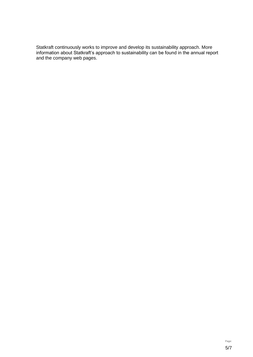Statkraft continuously works to improve and develop its sustainability approach. More information about Statkraft's approach to sustainability can be found in the annual report and the company web pages.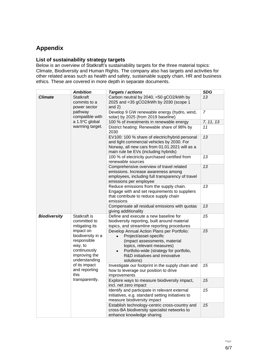# **Appendix**

### **List of sustainability strategy targets**

Below is an overview of Statkraft's sustainability targets for the three material topics: Climate, Biodiversity and Human Rights. The company also has targets and activities for other related areas such as health and safety, sustainable supply chain, HR and business ethics. These are covered in more depth in separate documents.

|                     | <b>Ambition</b>                                                                                                                                                                                                          | Targets / actions                                                                                                                                                                                                                                        | <b>SDG</b>     |
|---------------------|--------------------------------------------------------------------------------------------------------------------------------------------------------------------------------------------------------------------------|----------------------------------------------------------------------------------------------------------------------------------------------------------------------------------------------------------------------------------------------------------|----------------|
| <b>Climate</b>      | <b>Statkraft</b><br>commits to a<br>power sector<br>pathway<br>compatible with<br>a 1.5°C global<br>warming target.                                                                                                      | Carbon neutral by 2040, <50 gCO2/kWh by<br>2025 and <35 gCO2/kWh by 2030 (scope 1<br>and $2)$                                                                                                                                                            | 13             |
|                     |                                                                                                                                                                                                                          | Develop 9 GW renewable energy (hydro, wind,<br>solar) by 2025 (from 2019 baseline)                                                                                                                                                                       | $\overline{7}$ |
|                     |                                                                                                                                                                                                                          | 100 % of investments in renewable energy                                                                                                                                                                                                                 | 7, 11, 13      |
|                     |                                                                                                                                                                                                                          | District heating: Renewable share of 98% by<br>2030                                                                                                                                                                                                      | 11             |
|                     |                                                                                                                                                                                                                          | EV100: 100 % share of electric/hybrid personal<br>and light commercial vehicles by 2030. For<br>Norway, all new cars from 01.01.2021 will as a<br>main rule be EVs (including hybrids)                                                                   | 13             |
|                     |                                                                                                                                                                                                                          | 100 % of electricity purchased certified from<br>renewable sources                                                                                                                                                                                       | 13             |
|                     |                                                                                                                                                                                                                          | Comprehensive overview of travel related<br>emissions. Increase awareness among<br>employees, including full transparency of travel<br>emissions per employee                                                                                            | 13             |
|                     |                                                                                                                                                                                                                          | Reduce emissions from the supply chain.<br>Engage with and set requirements to suppliers<br>that contribute to reduce supply chain<br>emissions                                                                                                          | 13             |
|                     |                                                                                                                                                                                                                          | Compensate all residual emissions with quotas<br>giving additionality                                                                                                                                                                                    | 13             |
| <b>Biodiversity</b> | Statkraft is<br>committed to<br>mitigating its<br>impact on<br>biodiversity in a<br>responsible<br>way, to<br>continuously<br>improving the<br>understanding<br>of its impact<br>and reporting<br>this<br>transparently. | Define and execute a new baseline for<br>biodiversity reporting, built around material<br>topics, and streamline reporting procedures                                                                                                                    | 15             |
|                     |                                                                                                                                                                                                                          | Develop Annual Action Plans per Portfolio:<br>Project/asset-specific<br>$\bullet$<br>(impact assessments, material<br>topics, relevant measures)<br>Portfolio-wide (strategy for portfolio,<br>$\bullet$<br>R&D initiatives and innovative<br>solutions) | 15             |
|                     |                                                                                                                                                                                                                          | Investigate our footprint in the supply chain and<br>how to leverage our position to drive<br>improvements                                                                                                                                               | 15             |
|                     |                                                                                                                                                                                                                          | Explore ways to measure biodiversity impact,<br>incl. net zero impact                                                                                                                                                                                    | 15             |
|                     |                                                                                                                                                                                                                          | Identify and participate in relevant external<br>initiatives, e.g. standard setting initiatives to<br>measure biodiversity impact                                                                                                                        | 15             |
|                     |                                                                                                                                                                                                                          | Establish technology-centric cross-country and<br>cross-BA biodiversity specialist networks to<br>enhance knowledge sharing                                                                                                                              | 15             |